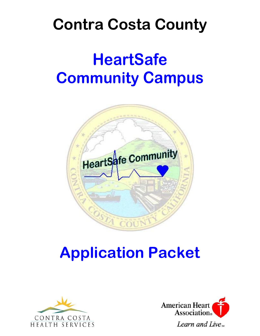# **Contra Costa County**

# **HeartSafe Community Campus**



## **Application Packet**



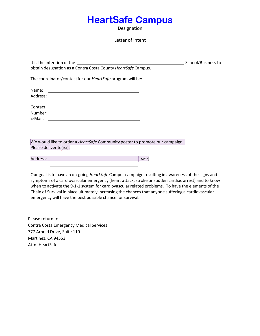### **HeartSafe Campus**

Designation

#### Letter of Intent

It is the intention of the School/Business to obtain designation as a Contra Costa County *HeartSafe* Campus. The coordinator/contact for our *HeartSafe* program will be:

Name: Address: and the state of the state of the state of the state of the state of the state of the state of the state of the state of the state of the state of the state of the state of the state of the state of the state of t Contact

| Number: |  |  |  |
|---------|--|--|--|
| E-Mail: |  |  |  |
|         |  |  |  |

We would like to order a *HeartSafe* Community poster to promote our campaign. Please deliver to [JA1]:

Address: [LAVS2]

Our goal is to have an on-going *HeartSafe* Campus campaign resulting in awareness of the signs and symptoms of a cardiovascular emergency (heart attack, stroke or sudden cardiac arrest) and to know when to activate the 9-1-1 system for cardiovascular related problems. To have the elements of the Chain of Survival in place ultimately increasing the chances that anyone suffering a cardiovascular emergency will have the best possible chance for survival.

Please return to: Contra Costa Emergency Medical Services 777 Arnold Drive, Suite 110 Martinez, CA 94553 Attn: HeartSafe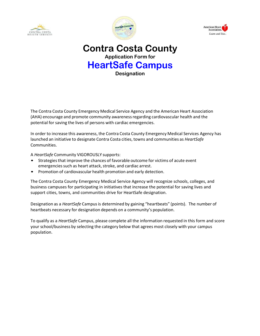





### **Contra Costa County Application Form for HeartSafe Campus Designation**

The Contra Costa County Emergency Medical Service Agency and the American Heart Association (AHA) encourage and promote community awarenessregarding cardiovascular health and the potential for saving the lives of persons with cardiac emergencies.

In order to increase this awareness, the Contra Costa County Emergency Medical Services Agency has launched an initiative to designate Contra Costa cities, towns and communities as *HeartSafe* Communities.

A *HeartSafe* Community VIGOROUSLY supports:

- Strategies that improve the chances of favorable outcome for victims of acute event emergencies such as heart attack, stroke, and cardiac arrest.
- Promotion of cardiovascular health promotion and early detection.

The Contra Costa County Emergency Medical Service Agency will recognize schools, colleges, and business campuses for participating in initiatives that increase the potential for saving lives and support cities, towns, and communities drive for HeartSafe designation.

Designation as a *HeartSafe* Campusis determined by gaining "heartbeats" (points). The number of heartbeats necessary for designation depends on a community's population.

To qualify as a *HeartSafe* Campus, please complete all the information requested in this form and score your school/business by selecting the category below that agrees most closely with your campus population.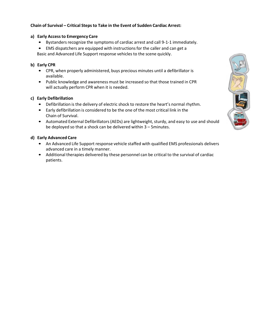#### **Chain of Survival – Critical Steps to Take in the Event of Sudden Cardiac Arrest:**

#### **a) Early Accessto Emergency Care**

- Bystanders recognize the symptoms of cardiac arrest and call 9-1-1 immediately.
- EMS dispatchers are equipped with instructions for the caller and can get a

Basic and Advanced Life Support response vehicles to the scene quickly.

#### **b) Early CPR**

- CPR, when properly administered, buys precious minutes until a defibrillator is available.
- Public knowledge and awareness must be increased so that those trained in CPR will actually perform CPR when it is needed.

#### **c) Early Defibrillation**

- Defibrillation is the delivery of electric shock to restore the heart's normal rhythm.
- Early defibrillation is considered to be the one of the most critical link in the Chain of Survival.
- Automated External Defibrillators (AEDs) are lightweight, sturdy, and easy to use and should be deployed so that a shock can be delivered within 3 – 5minutes.

#### **d) Early Advanced Care**

- An Advanced Life Support response vehicle staffed with qualified EMS professionals delivers advanced care in a timely manner.
- Additional therapies delivered by these personnel can be critical to the survival of cardiac patients.

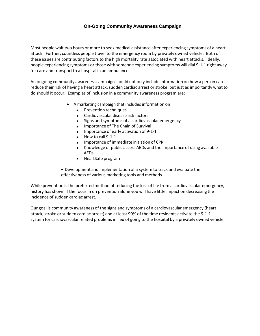#### **On-Going Community Awareness Campaign**

Most people wait two hours or more to seek medical assistance after experiencing symptoms of a heart attack. Further, countless people travel to the emergency room by privately owned vehicle. Both of these issues are contributing factors to the high mortality rate associated with heart attacks. Ideally, people experiencing symptoms or those with someone experiencing symptoms will dial 9-1-1 right away for care and transport to a hospital in an ambulance.

An ongoing community awareness campaign should not only include information on how a person can reduce their risk of having a heart attack, sudden cardiac arrest or stroke, but just as importantly what to do should it occur. Examples of inclusion in a community awareness program are:

- A marketing campaign that includes information on
	- Prevention techniques
	- Cardiovascular disease risk factors
	- Signs and symptoms of a cardiovascular emergency
	- Importance of The Chain of Survival
	- Importance of early activation of 9-1-1
	- How to call 9-1-1
	- Importance of immediate initiation of CPR
	- Knowledge of public access AEDs and the importance of using available AEDs
	- HeartSafe program
- Development and implementation of a system to track and evaluate the effectiveness of various marketing tools and methods.

While prevention is the preferred method of reducing the loss of life from a cardiovascular emergency, history has shown if the focus in on prevention alone you will have little impact on decreasing the incidence of sudden cardiac arrest.

Our goal is community awareness of the signs and symptoms of a cardiovascular emergency (heart attack, stroke or sudden cardiac arrest) and at least 90% of the time residents activate the 9-1-1 system for cardiovascular related problems in lieu of going to the hospital by a privately owned vehicle.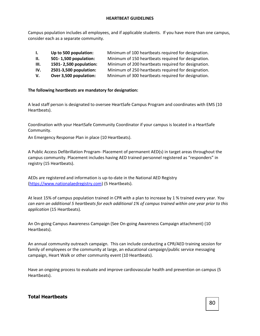Campus population includes all employees, and if applicable students. If you have more than one campus, consider each as a separate community.

| $\mathbf{L}$ | Up to 500 population:  | Minimum of 100 heartbeats required for designation. |
|--------------|------------------------|-----------------------------------------------------|
| II.          | 501-1,500 population:  | Minimum of 150 heartbeats required for designation. |
| III.         | 1501-2,500 population: | Minimum of 200 heartbeats required for designation. |
| IV.          | 2501-3,500 population: | Minimum of 250 heartbeats required for designation. |
| V.           | Over 3,500 population: | Minimum of 300 heartbeats required for designation. |

#### **The following h***eartbeats* **are mandatory for designation:**

A lead staff person is designated to oversee HeartSafe Campus Program and coordinates with EMS (10 Heartbeats).

Coordination with your HeartSafe Community Coordinator if your campus is located in a HeartSafe Community.

An Emergency Response Plan in place (10 Heartbeats).

A Public Access Defibrillation Program- Placement of permanent AED(s) in target areas throughout the campus community. Placement includes having AED trained personnel registered as "responders" in registry (15 Heartbeats).

AEDs are registered and information is up-to-date in the National AED Registry [\(https://www.nationalaedregistry.com\)](https://www.nationalaedregistry.com/) (5 Heartbeats).

At least 15% of campus population trained in CPR with a plan to increase by 1 % trained every year. *You can earn an additional 5 heartbeats for each additional 1% of campus trained within one year prior to this application* (15 Heartbeats).

An On-going Campus Awareness Campaign (See On-going Awareness Campaign attachment) (10 Heartbeats).

An annual community outreach campaign. This can include conducting a CPR/AED training session for family of employees or the community at large, an educational campaign/public service messaging campaign, Heart Walk or other community event (10 Heartbeats).

Have an ongoing process to evaluate and improve cardiovascular health and prevention on campus (5 Heartbeats).

#### **Total Heartbeats**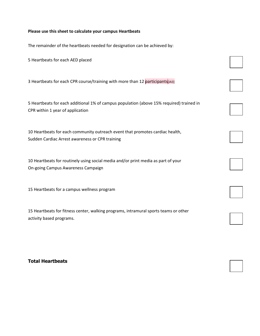#### **Please use this sheet to calculate your campus Heartbeats**

The remainder of the heartbeats needed for designation can be achieved by:

5 Heartbeats for each AED placed

3 Heartbeats for each CPR course/training with more than 12 participants [JA3]

5 Heartbeats for each additional 1% of campus population (above 15% required) trained in CPR within 1 year of application

10 Heartbeats for each community outreach event that promotes cardiac health, Sudden Cardiac Arrest awareness or CPR training

10 Heartbeats for routinely using social media and/or print media as part of your On-going Campus Awareness Campaign

15 Heartbeats for a campus wellness program

15 Heartbeats for fitness center, walking programs, intramural sports teams or other activity based programs.

#### **Total Heartbeats**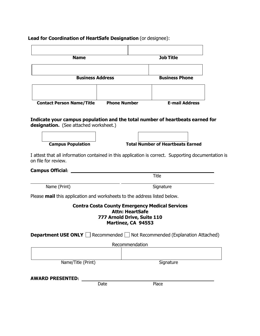### **Lead for Coordination of HeartSafe Designation** (or designee):

| <b>Name</b>                                                                                                                | <b>Job Title</b>                                  |                        |                                                       |  |  |
|----------------------------------------------------------------------------------------------------------------------------|---------------------------------------------------|------------------------|-------------------------------------------------------|--|--|
| <b>Business Address</b>                                                                                                    |                                                   | <b>Business Phone</b>  |                                                       |  |  |
|                                                                                                                            |                                                   |                        |                                                       |  |  |
| <b>Contact Person Name/Title</b>                                                                                           | <b>Phone Number</b>                               |                        | <b>E-mail Address</b>                                 |  |  |
| Indicate your campus population and the total number of heartbeats earned for<br>designation. (See attached worksheet.)    |                                                   |                        | <b>Total Number of Heartbeats Earned</b>              |  |  |
| <b>Campus Population</b>                                                                                                   |                                                   |                        |                                                       |  |  |
| I attest that all information contained in this application is correct. Supporting documentation is<br>on file for review. |                                                   |                        |                                                       |  |  |
| Campus Official: <u>__________________________________</u>                                                                 |                                                   |                        |                                                       |  |  |
|                                                                                                                            |                                                   |                        | Title                                                 |  |  |
| Name (Print)                                                                                                               | Signature                                         |                        |                                                       |  |  |
|                                                                                                                            |                                                   |                        |                                                       |  |  |
| Please mail this application and worksheets to the address listed below.                                                   |                                                   |                        |                                                       |  |  |
|                                                                                                                            | 777 Arnold Drive, Suite 110<br>Martinez, CA 94553 | <b>Attn: HeartSafe</b> | <b>Contra Costa County Emergency Medical Services</b> |  |  |
| <b>Department USE ONLY</b> $\Box$ Recommended $\Box$ Not Recommended (Explanation Attached)                                |                                                   |                        |                                                       |  |  |
|                                                                                                                            |                                                   | Recommendation         |                                                       |  |  |
|                                                                                                                            |                                                   |                        |                                                       |  |  |
| Name/Title (Print)                                                                                                         |                                                   |                        | Signature                                             |  |  |
| <b>AWARD PRESENTED:</b>                                                                                                    |                                                   |                        |                                                       |  |  |